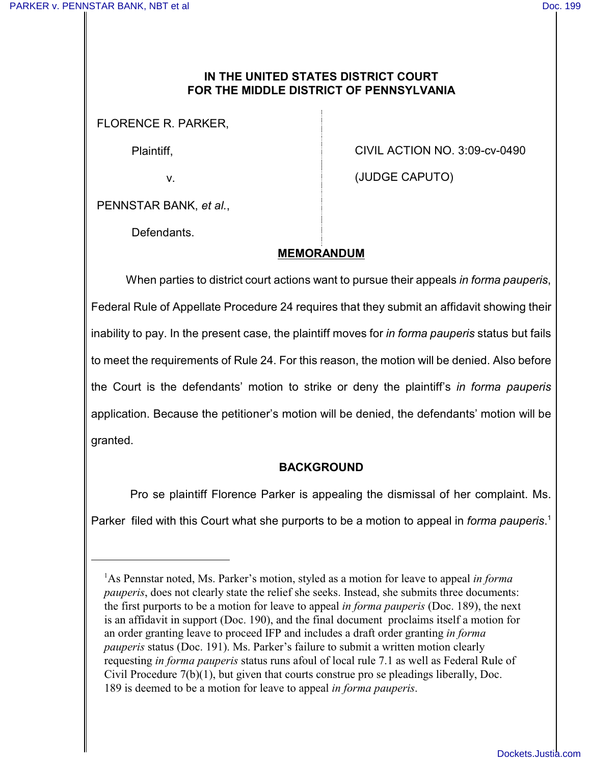### **IN THE UNITED STATES DISTRICT COURT FOR THE MIDDLE DISTRICT OF PENNSYLVANIA**

FLORENCE R. PARKER,

Plaintiff,

v.

CIVIL ACTION NO. 3:09-cv-0490

(JUDGE CAPUTO)

PENNSTAR BANK, *et al.*,

Defendants.

## **MEMORANDUM**

When parties to district court actions want to pursue their appeals *in forma pauperis*, Federal Rule of Appellate Procedure 24 requires that they submit an affidavit showing their inability to pay. In the present case, the plaintiff moves for *in forma pauperis* status but fails to meet the requirements of Rule 24. For this reason, the motion will be denied. Also before the Court is the defendants' motion to strike or deny the plaintiff's *in forma pauperis* application. Because the petitioner's motion will be denied, the defendants' motion will be granted.

### **BACKGROUND**

Pro se plaintiff Florence Parker is appealing the dismissal of her complaint. Ms. Parker filed with this Court what she purports to be a motion to appeal in *forma pauperis*. 1

<sup>&</sup>lt;sup>1</sup>As Pennstar noted, Ms. Parker's motion, styled as a motion for leave to appeal *in forma pauperis*, does not clearly state the relief she seeks. Instead, she submits three documents: the first purports to be a motion for leave to appeal *in forma pauperis* (Doc. 189), the next is an affidavit in support (Doc. 190), and the final document proclaims itself a motion for an order granting leave to proceed IFP and includes a draft order granting *in forma pauperis* status (Doc. 191). Ms. Parker's failure to submit a written motion clearly requesting *in forma pauperis* status runs afoul of local rule 7.1 as well as Federal Rule of Civil Procedure 7(b)(1), but given that courts construe pro se pleadings liberally, Doc. 189 is deemed to be a motion for leave to appeal *in forma pauperis*.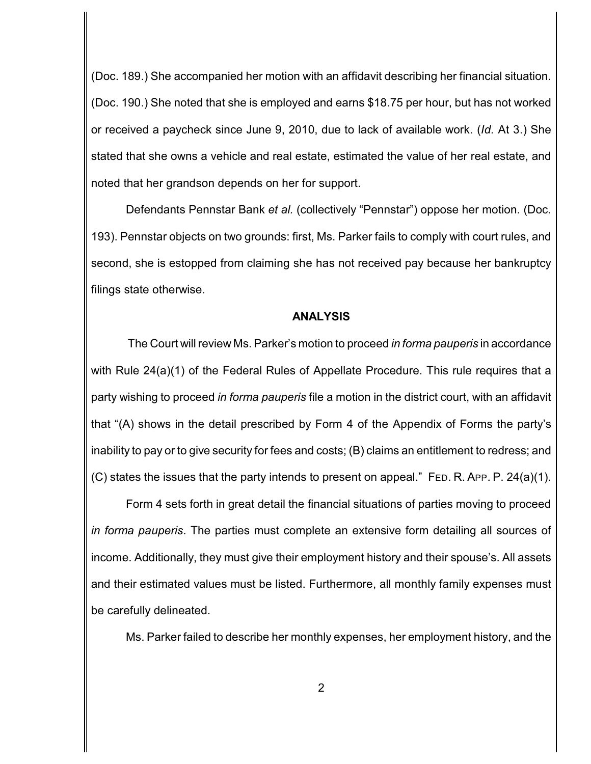(Doc. 189.) She accompanied her motion with an affidavit describing her financial situation. (Doc. 190.) She noted that she is employed and earns \$18.75 per hour, but has not worked or received a paycheck since June 9, 2010, due to lack of available work. (*Id.* At 3.) She stated that she owns a vehicle and real estate, estimated the value of her real estate, and noted that her grandson depends on her for support.

Defendants Pennstar Bank *et al.* (collectively "Pennstar") oppose her motion. (Doc. 193). Pennstar objects on two grounds: first, Ms. Parker fails to comply with court rules, and second, she is estopped from claiming she has not received pay because her bankruptcy filings state otherwise.

#### **ANALYSIS**

The Court will review Ms. Parker's motion to proceed *in forma pauperis* in accordance with Rule 24(a)(1) of the Federal Rules of Appellate Procedure. This rule requires that a party wishing to proceed *in forma pauperis* file a motion in the district court, with an affidavit that "(A) shows in the detail prescribed by Form 4 of the Appendix of Forms the party's inability to pay or to give security for fees and costs; (B) claims an entitlement to redress; and (C) states the issues that the party intends to present on appeal." FED. R. APP. P. 24(a)(1).

Form 4 sets forth in great detail the financial situations of parties moving to proceed *in forma pauperis*. The parties must complete an extensive form detailing all sources of income. Additionally, they must give their employment history and their spouse's. All assets and their estimated values must be listed. Furthermore, all monthly family expenses must be carefully delineated.

Ms. Parker failed to describe her monthly expenses, her employment history, and the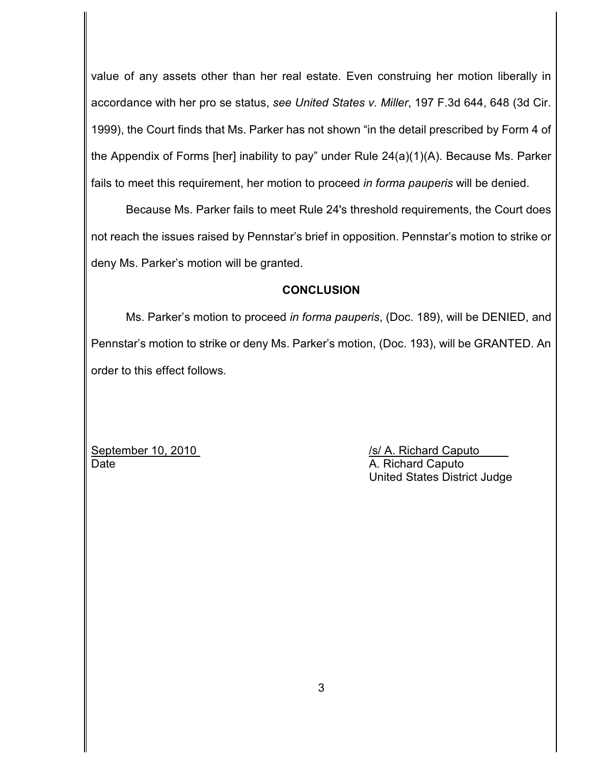value of any assets other than her real estate. Even construing her motion liberally in accordance with her pro se status, *see United States v. Miller*, 197 F.3d 644, 648 (3d Cir. 1999), the Court finds that Ms. Parker has not shown "in the detail prescribed by Form 4 of the Appendix of Forms [her] inability to pay" under Rule 24(a)(1)(A). Because Ms. Parker fails to meet this requirement, her motion to proceed *in forma pauperis* will be denied.

Because Ms. Parker fails to meet Rule 24's threshold requirements, the Court does not reach the issues raised by Pennstar's brief in opposition. Pennstar's motion to strike or deny Ms. Parker's motion will be granted.

### **CONCLUSION**

Ms. Parker's motion to proceed *in forma pauperis*, (Doc. 189), will be DENIED, and Pennstar's motion to strike or deny Ms. Parker's motion, (Doc. 193), will be GRANTED. An order to this effect follows.

September 10, 2010 *September 10, 2010 Is/ A. Richard Caputo* Date **A. Richard Caputo** A. Richard Caputo

United States District Judge